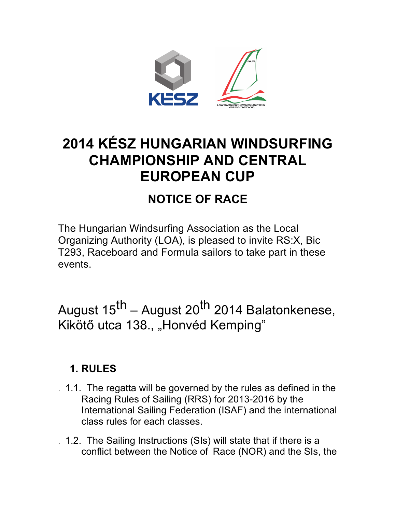

# **2014 KÉSZ HUNGARIAN WINDSURFING CHAMPIONSHIP AND CENTRAL EUROPEAN CUP**

## **NOTICE OF RACE**

The Hungarian Windsurfing Association as the Local Organizing Authority (LOA), is pleased to invite RS:X, Bic T293, Raceboard and Formula sailors to take part in these events.

August 15<sup>th</sup> – August 20<sup>th</sup> 2014 Balatonkenese, Kikötő utca 138., "Honvéd Kemping"

#### **1. RULES**

- . 1.1. The regatta will be governed by the rules as defined in the Racing Rules of Sailing (RRS) for 2013-2016 by the International Sailing Federation (ISAF) and the international class rules for each classes.
- . 1.2. The Sailing Instructions (SIs) will state that if there is a conflict between the Notice of Race (NOR) and the SIs, the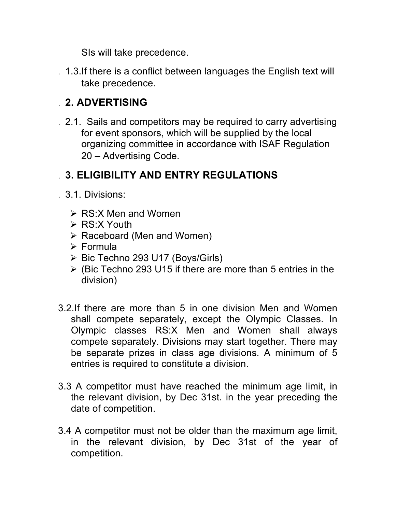SIs will take precedence.

. 1.3.If there is a conflict between languages the English text will take precedence.

## . **2. ADVERTISING**

. 2.1. Sails and competitors may be required to carry advertising for event sponsors, which will be supplied by the local organizing committee in accordance with ISAF Regulation 20 – Advertising Code. **3.** 

### . **3. ELIGIBILITY AND ENTRY REGULATIONS**

- . 3.1. Divisions:
	- $\triangleright$  RS:X Men and Women
	- $\triangleright$  RS:X Youth
	- $\triangleright$  Raceboard (Men and Women)
	- $\triangleright$  Formula
	- $\triangleright$  Bic Techno 293 U17 (Boys/Girls)
	- $\triangleright$  (Bic Techno 293 U15 if there are more than 5 entries in the division)
- 3.2.If there are more than 5 in one division Men and Women shall compete separately, except the Olympic Classes. In Olympic classes RS:X Men and Women shall always compete separately. Divisions may start together. There may be separate prizes in class age divisions. A minimum of 5 entries is required to constitute a division.
- 3.3 A competitor must have reached the minimum age limit, in the relevant division, by Dec 31st. in the year preceding the date of competition.
- 3.4 A competitor must not be older than the maximum age limit, in the relevant division, by Dec 31st of the year of competition.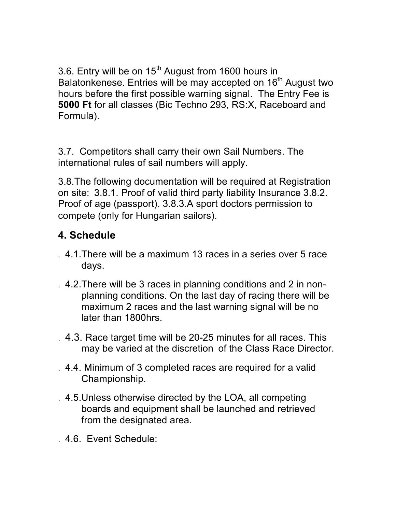3.6. Entry will be on  $15<sup>th</sup>$  August from 1600 hours in Balatonkenese. Entries will be may accepted on 16<sup>th</sup> August two hours before the first possible warning signal. The Entry Fee is **5000 Ft** for all classes (Bic Techno 293, RS:X, Raceboard and Formula).

3.7. Competitors shall carry their own Sail Numbers. The international rules of sail numbers will apply.

3.8.The following documentation will be required at Registration on site: 3.8.1. Proof of valid third party liability Insurance 3.8.2. Proof of age (passport). 3.8.3.A sport doctors permission to compete (only for Hungarian sailors).

## **4. Schedule**

- . 4.1.There will be a maximum 13 races in a series over 5 race days.
- . 4.2.There will be 3 races in planning conditions and 2 in nonplanning conditions. On the last day of racing there will be maximum 2 races and the last warning signal will be no later than 1800hrs.
- . 4.3. Race target time will be 20-25 minutes for all races. This may be varied at the discretion of the Class Race Director.
- . 4.4. Minimum of 3 completed races are required for a valid Championship.
- . 4.5.Unless otherwise directed by the LOA, all competing boards and equipment shall be launched and retrieved from the designated area.
- . 4.6. Event Schedule: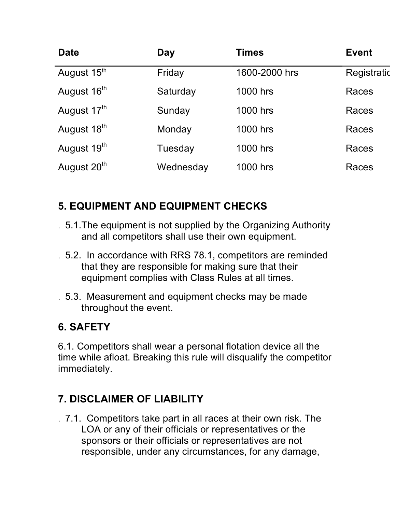| <b>Date</b>             | Day       | <b>Times</b>  | <b>Event</b> |
|-------------------------|-----------|---------------|--------------|
| August 15th             | Friday    | 1600-2000 hrs | Registratic  |
| August 16 <sup>th</sup> | Saturday  | 1000 hrs      | Races        |
| August 17 <sup>th</sup> | Sunday    | 1000 hrs      | Races        |
| August 18 <sup>th</sup> | Monday    | 1000 hrs      | Races        |
| August 19 <sup>th</sup> | Tuesday   | 1000 hrs      | Races        |
| August 20 <sup>th</sup> | Wednesday | 1000 hrs      | Races        |

## **5. EQUIPMENT AND EQUIPMENT CHECKS**

- . 5.1.The equipment is not supplied by the Organizing Authority and all competitors shall use their own equipment.
- . 5.2. In accordance with RRS 78.1, competitors are reminded that they are responsible for making sure that their equipment complies with Class Rules at all times.
- . 5.3. Measurement and equipment checks may be made throughout the event.

#### **6. SAFETY**

6.1. Competitors shall wear a personal flotation device all the time while afloat. Breaking this rule will disqualify the competitor immediately.

## **7. DISCLAIMER OF LIABILITY**

. 7.1. Competitors take part in all races at their own risk. The LOA or any of their officials or representatives or the sponsors or their officials or representatives are not responsible, under any circumstances, for any damage,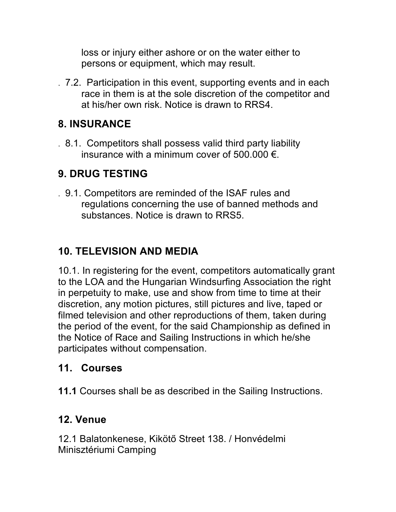loss or injury either ashore or on the water either to persons or equipment, which may result.

. 7.2. Participation in this event, supporting events and in each race in them is at the sole discretion of the competitor and at his/her own risk. Notice is drawn to RRS4.

### **8. INSURANCE**

. 8.1. Competitors shall possess valid third party liability insurance with a minimum cover of 500.000  $\epsilon$ .

## **9. DRUG TESTING**

. 9.1. Competitors are reminded of the ISAF rules and regulations concerning the use of banned methods and substances. Notice is drawn to RRS5.

## **10. TELEVISION AND MEDIA**

10.1. In registering for the event, competitors automatically grant to the LOA and the Hungarian Windsurfing Association the right in perpetuity to make, use and show from time to time at their discretion, any motion pictures, still pictures and live, taped or filmed television and other reproductions of them, taken during the period of the event, for the said Championship as defined in the Notice of Race and Sailing Instructions in which he/she participates without compensation.

#### **11. Courses**

**11.1** Courses shall be as described in the Sailing Instructions.

#### **12. Venue**

12.1 Balatonkenese, Kikötő Street 138. / Honvédelmi Minisztériumi Camping